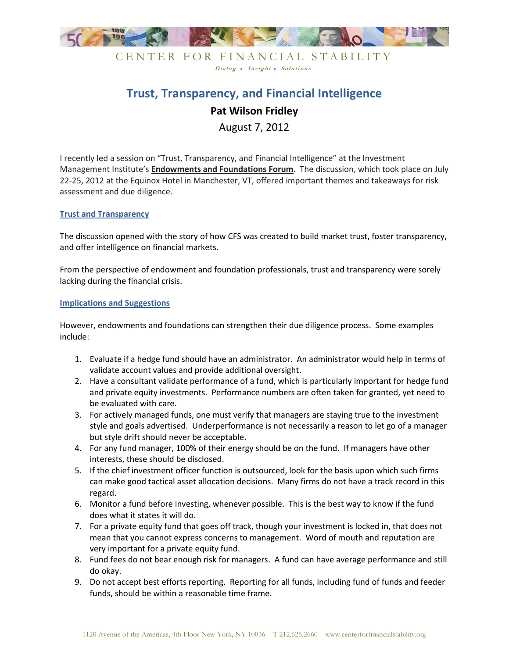

## CENTER FOR FINANCIAL STABILITY Dialog • Insight • Solutions

# **Trust, Transparency, and Financial Intelligence Pat Wilson Fridley** August 7, 2012

I recently led a session on "Trust, Transparency, and Financial Intelligence" at the Investment Management Institute's **Endowments and Foundations Forum**. The discussion, which took place on July 22-25, 2012 at the Equinox Hotel in Manchester, VT, offered important themes and takeaways for risk assessment and due diligence.

### **Trust and Transparency**

The discussion opened with the story of how CFS was created to build market trust, foster transparency, and offer intelligence on financial markets.

From the perspective of endowment and foundation professionals, trust and transparency were sorely lacking during the financial crisis.

#### **Implications and Suggestions**

However, endowments and foundations can strengthen their due diligence process. Some examples include:

- 1. Evaluate if a hedge fund should have an administrator. An administrator would help in terms of validate account values and provide additional oversight.
- 2. Have a consultant validate performance of a fund, which is particularly important for hedge fund and private equity investments. Performance numbers are often taken for granted, yet need to be evaluated with care.
- 3. For actively managed funds, one must verify that managers are staying true to the investment style and goals advertised. Underperformance is not necessarily a reason to let go of a manager but style drift should never be acceptable.
- 4. For any fund manager, 100% of their energy should be on the fund. If managers have other interests, these should be disclosed.
- 5. If the chief investment officer function is outsourced, look for the basis upon which such firms can make good tactical asset allocation decisions. Many firms do not have a track record in this regard.
- 6. Monitor a fund before investing, whenever possible. This is the best way to know if the fund does what it states it will do.
- 7. For a private equity fund that goes off track, though your investment is locked in, that does not mean that you cannot express concerns to management. Word of mouth and reputation are very important for a private equity fund.
- 8. Fund fees do not bear enough risk for managers. A fund can have average performance and still do okay.
- 9. Do not accept best efforts reporting. Reporting for all funds, including fund of funds and feeder funds, should be within a reasonable time frame.